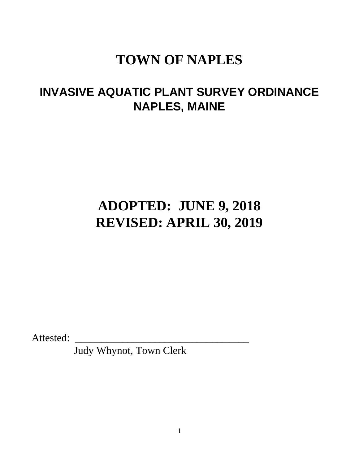# **TOWN OF NAPLES**

## **INVASIVE AQUATIC PLANT SURVEY ORDINANCE NAPLES, MAINE**

# **ADOPTED: JUNE 9, 2018 REVISED: APRIL 30, 2019**

Attested:

Judy Whynot, Town Clerk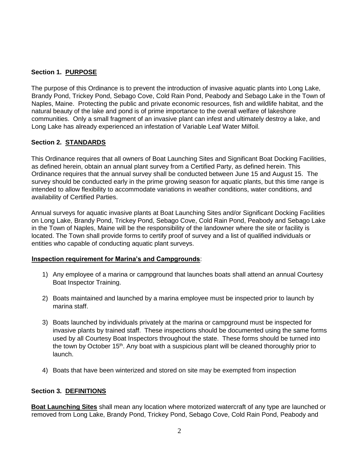### **Section 1. PURPOSE**

The purpose of this Ordinance is to prevent the introduction of invasive aquatic plants into Long Lake, Brandy Pond, Trickey Pond, Sebago Cove, Cold Rain Pond, Peabody and Sebago Lake in the Town of Naples, Maine. Protecting the public and private economic resources, fish and wildlife habitat, and the natural beauty of the lake and pond is of prime importance to the overall welfare of lakeshore communities. Only a small fragment of an invasive plant can infest and ultimately destroy a lake, and Long Lake has already experienced an infestation of Variable Leaf Water Milfoil.

### **Section 2. STANDARDS**

This Ordinance requires that all owners of Boat Launching Sites and Significant Boat Docking Facilities, as defined herein, obtain an annual plant survey from a Certified Party, as defined herein. This Ordinance requires that the annual survey shall be conducted between June 15 and August 15. The survey should be conducted early in the prime growing season for aquatic plants, but this time range is intended to allow flexibility to accommodate variations in weather conditions, water conditions, and availability of Certified Parties.

Annual surveys for aquatic invasive plants at Boat Launching Sites and/or Significant Docking Facilities on Long Lake, Brandy Pond, Trickey Pond, Sebago Cove, Cold Rain Pond, Peabody and Sebago Lake in the Town of Naples, Maine will be the responsibility of the landowner where the site or facility is located. The Town shall provide forms to certify proof of survey and a list of qualified individuals or entities who capable of conducting aquatic plant surveys.

### **Inspection requirement for Marina's and Campgrounds**:

- 1) Any employee of a marina or campground that launches boats shall attend an annual Courtesy Boat Inspector Training.
- 2) Boats maintained and launched by a marina employee must be inspected prior to launch by marina staff.
- 3) Boats launched by individuals privately at the marina or campground must be inspected for invasive plants by trained staff. These inspections should be documented using the same forms used by all Courtesy Boat Inspectors throughout the state. These forms should be turned into the town by October 15<sup>th</sup>. Any boat with a suspicious plant will be cleaned thoroughly prior to launch.
- 4) Boats that have been winterized and stored on site may be exempted from inspection

### **Section 3. DEFINITIONS**

**Boat Launching Sites** shall mean any location where motorized watercraft of any type are launched or removed from Long Lake, Brandy Pond, Trickey Pond, Sebago Cove, Cold Rain Pond, Peabody and